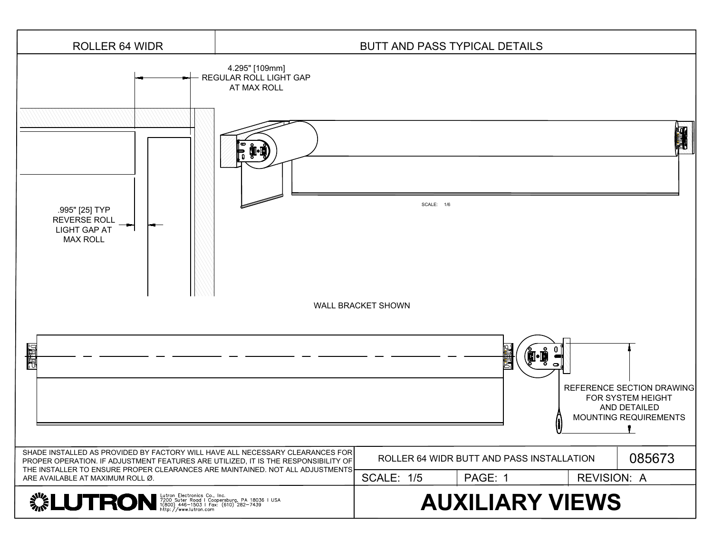